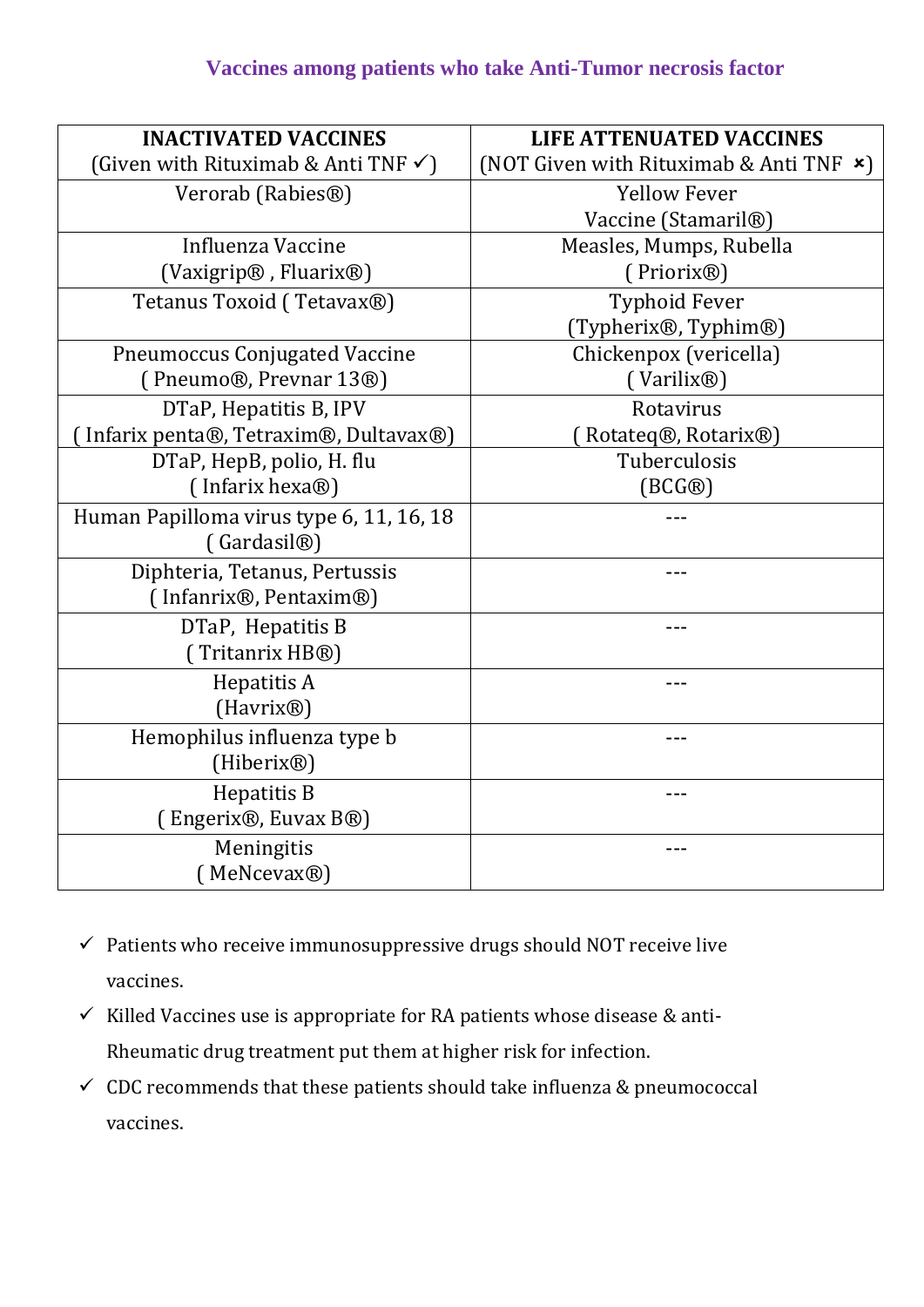## **Vaccines among patients who take Anti-Tumor necrosis factor**

| <b>INACTIVATED VACCINES</b>                      | <b>LIFE ATTENUATED VACCINES</b>                |
|--------------------------------------------------|------------------------------------------------|
| (Given with Rituximab & Anti TNF $\checkmark$ )  | (NOT Given with Rituximab & Anti TNF $\star$ ) |
| Verorab (Rabies <sup>®</sup> )                   | <b>Yellow Fever</b>                            |
|                                                  | Vaccine (Stamaril®)                            |
| Influenza Vaccine                                | Measles, Mumps, Rubella                        |
| (Vaxigrip®, Fluarix®)                            | (Priorix <sup>®</sup> )                        |
| Tetanus Toxoid (Tetavax®)                        | <b>Typhoid Fever</b>                           |
|                                                  | (Typherix®, Typhim®)                           |
| <b>Pneumoccus Conjugated Vaccine</b>             | Chickenpox (vericella)                         |
| (Pneumo®, Prevnar 13®)                           | (Varilix <sup>®</sup> )                        |
| DTaP, Hepatitis B, IPV                           | Rotavirus                                      |
| Infarix penta®, Tetraxim®, Dultavax®)            | Rotateq®, Rotarix®)                            |
| DTaP, HepB, polio, H. flu                        | Tuberculosis                                   |
| (Infarix hexa <sup>®</sup> )                     | $(BCG\circledR)$                               |
| Human Papilloma virus type 6, 11, 16, 18         |                                                |
| (Gardasil <sup>®</sup> )                         |                                                |
| Diphteria, Tetanus, Pertussis                    |                                                |
| (Infanrix <sup>®</sup> , Pentaxim <sup>®</sup> ) |                                                |
| DTaP, Hepatitis B                                |                                                |
| (Tritanrix HB®)                                  |                                                |
| Hepatitis A                                      | ---                                            |
| (Havrix <sup>®</sup> )                           |                                                |
| Hemophilus influenza type b                      |                                                |
| (Hiberix <sup>®</sup> )                          |                                                |
| Hepatitis B                                      |                                                |
| (Engerix®, Euvax B®)                             |                                                |
| Meningitis                                       |                                                |
| (MeNcevax®)                                      |                                                |

- $\checkmark$  Patients who receive immunosuppressive drugs should NOT receive live vaccines.
- $\checkmark$  Killed Vaccines use is appropriate for RA patients whose disease & anti-Rheumatic drug treatment put them at higher risk for infection.
- $\checkmark$  CDC recommends that these patients should take influenza & pneumococcal vaccines.